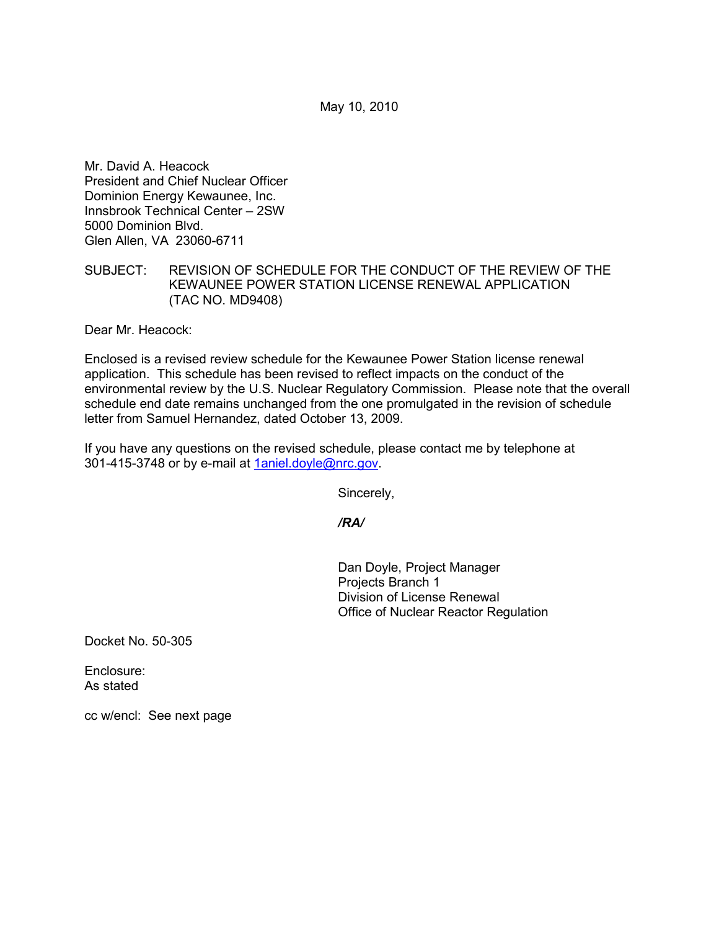May 10, 2010

Mr. David A. Heacock President and Chief Nuclear Officer Dominion Energy Kewaunee, Inc. Innsbrook Technical Center – 2SW 5000 Dominion Blvd. Glen Allen, VA 23060-6711

## SUBJECT: REVISION OF SCHEDULE FOR THE CONDUCT OF THE REVIEW OF THE KEWAUNEE POWER STATION LICENSE RENEWAL APPLICATION (TAC NO. MD9408)

Dear Mr. Heacock:

Enclosed is a revised review schedule for the Kewaunee Power Station license renewal application. This schedule has been revised to reflect impacts on the conduct of the environmental review by the U.S. Nuclear Regulatory Commission. Please note that the overall schedule end date remains unchanged from the one promulgated in the revision of schedule letter from Samuel Hernandez, dated October 13, 2009.

If you have any questions on the revised schedule, please contact me by telephone at 301-415-3748 or by e-mail at 1aniel.doyle@nrc.gov.

Sincerely,

*/RA/* 

Dan Doyle, Project Manager Projects Branch 1 Division of License Renewal Office of Nuclear Reactor Regulation

Docket No. 50-305

Enclosure: As stated

cc w/encl: See next page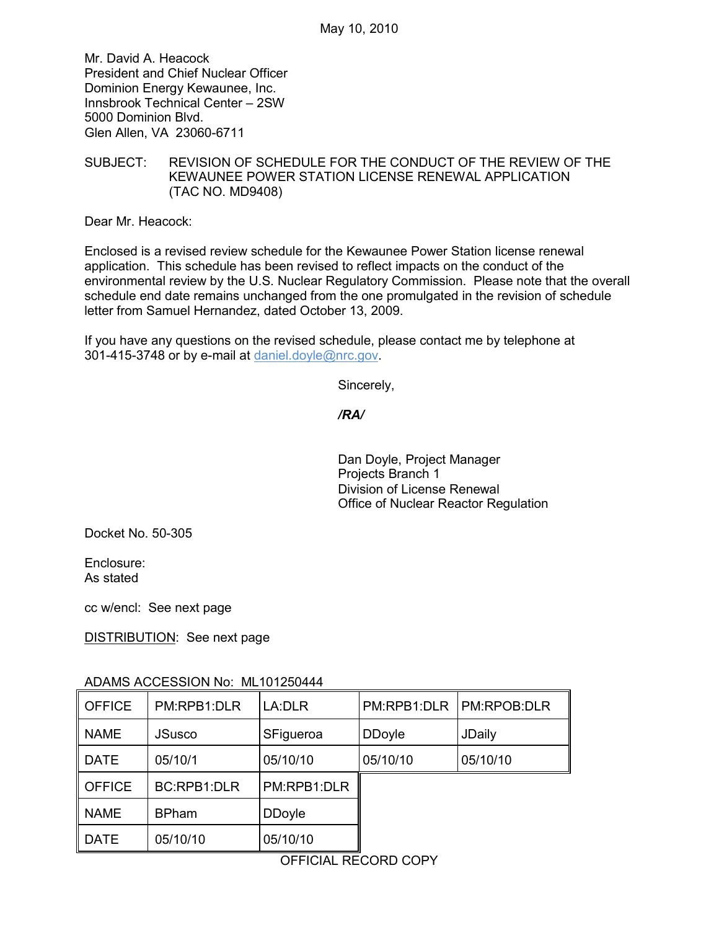Mr. David A. Heacock President and Chief Nuclear Officer Dominion Energy Kewaunee, Inc. Innsbrook Technical Center – 2SW 5000 Dominion Blvd. Glen Allen, VA 23060-6711

SUBJECT: REVISION OF SCHEDULE FOR THE CONDUCT OF THE REVIEW OF THE KEWAUNEE POWER STATION LICENSE RENEWAL APPLICATION (TAC NO. MD9408)

Dear Mr. Heacock:

Enclosed is a revised review schedule for the Kewaunee Power Station license renewal application. This schedule has been revised to reflect impacts on the conduct of the environmental review by the U.S. Nuclear Regulatory Commission. Please note that the overall schedule end date remains unchanged from the one promulgated in the revision of schedule letter from Samuel Hernandez, dated October 13, 2009.

If you have any questions on the revised schedule, please contact me by telephone at 301-415-3748 or by e-mail at daniel.doyle@nrc.gov.

Sincerely,

*/RA/* 

Dan Doyle, Project Manager Projects Branch 1 Division of License Renewal Office of Nuclear Reactor Regulation

Docket No. 50-305

Enclosure: As stated

cc w/encl: See next page

DISTRIBUTION: See next page

| <b>OFFICE</b> | PM:RPB1:DLR        | LA:DLR        | PM:RPB1:DLR   | <b>PM:RPOB:DLR</b> |
|---------------|--------------------|---------------|---------------|--------------------|
| <b>NAME</b>   | <b>JSusco</b>      | SFigueroa     | <b>DDoyle</b> | JDaily             |
| <b>DATE</b>   | 05/10/1            | 05/10/10      | 05/10/10      | 05/10/10           |
| <b>OFFICE</b> | <b>BC:RPB1:DLR</b> | PM:RPB1:DLR   |               |                    |
| <b>NAME</b>   | <b>BPham</b>       | <b>DDoyle</b> |               |                    |
| <b>DATE</b>   | 05/10/10           | 05/10/10      |               |                    |

## ADAMS ACCESSION No: ML101250444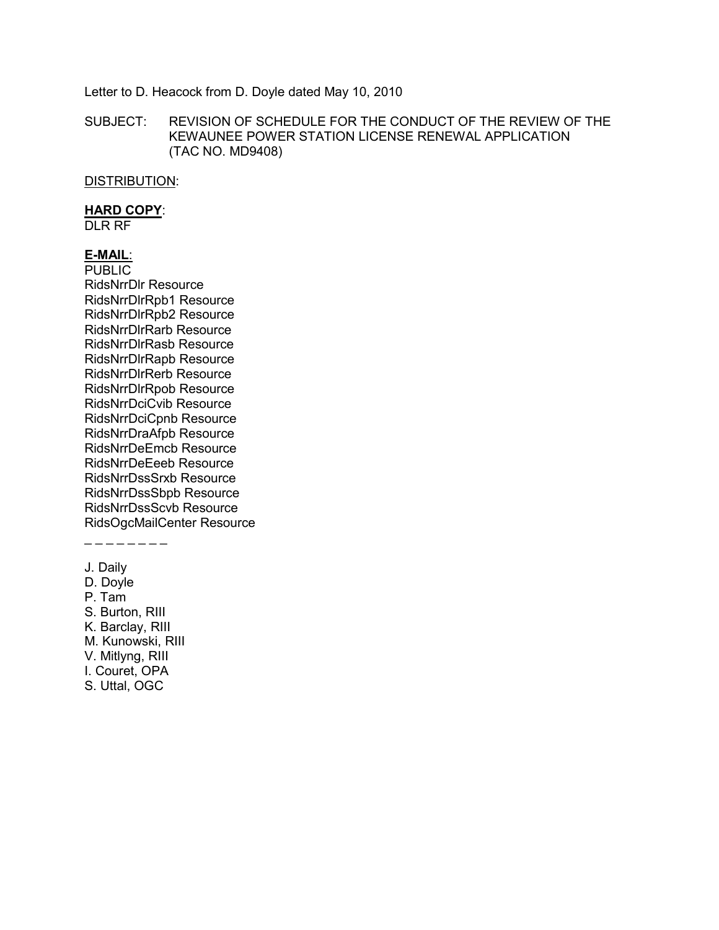#### Letter to D. Heacock from D. Doyle dated May 10, 2010

SUBJECT: REVISION OF SCHEDULE FOR THE CONDUCT OF THE REVIEW OF THE KEWAUNEE POWER STATION LICENSE RENEWAL APPLICATION (TAC NO. MD9408)

DISTRIBUTION:

#### **HARD COPY**:

DLR RF

## **E-MAIL**:

PUBLIC RidsNrrDlr Resource RidsNrrDlrRpb1 Resource RidsNrrDlrRpb2 Resource RidsNrrDlrRarb Resource RidsNrrDlrRasb Resource RidsNrrDlrRapb Resource RidsNrrDlrRerb Resource RidsNrrDlrRpob Resource RidsNrrDciCvib Resource RidsNrrDciCpnb Resource RidsNrrDraAfpb Resource RidsNrrDeEmcb Resource RidsNrrDeEeeb Resource RidsNrrDssSrxb Resource RidsNrrDssSbpb Resource RidsNrrDssScvb Resource RidsOgcMailCenter Resource

\_ \_ \_ \_ \_ \_ \_ \_

- J. Daily
- D. Doyle
- P. Tam
- S. Burton, RIII
- K. Barclay, RIII
- M. Kunowski, RIII
- V. Mitlyng, RIII
- I. Couret, OPA
- S. Uttal, OGC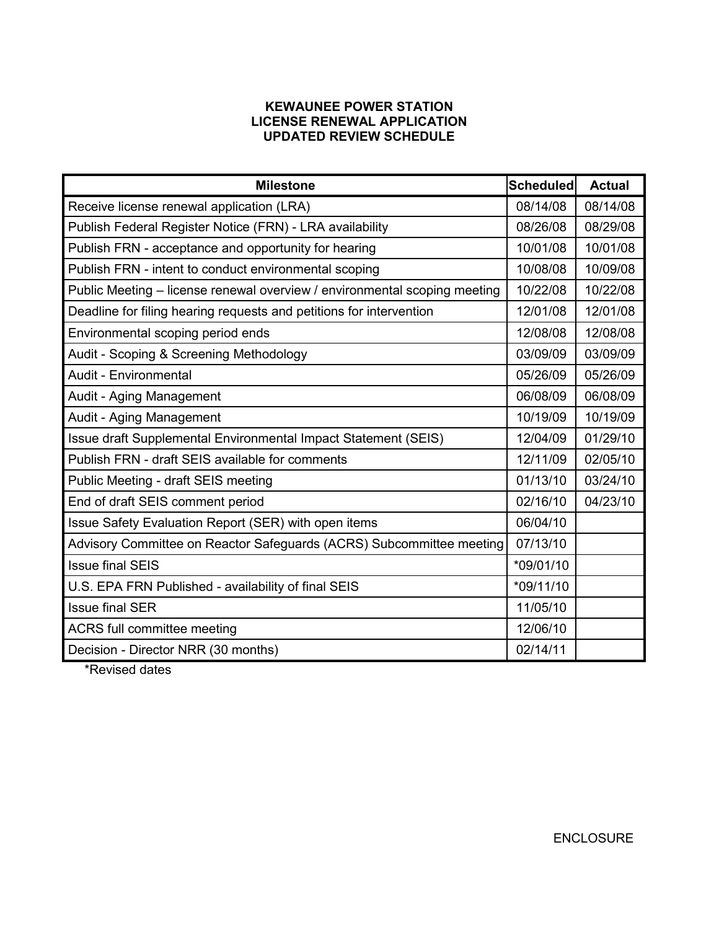# **KEWAUNEE POWER STATION LICENSE RENEWAL APPLICATION UPDATED REVIEW SCHEDULE**

| <b>Milestone</b>                                                          | <b>Scheduled</b> | <b>Actual</b> |
|---------------------------------------------------------------------------|------------------|---------------|
| Receive license renewal application (LRA)                                 | 08/14/08         | 08/14/08      |
| Publish Federal Register Notice (FRN) - LRA availability                  | 08/26/08         | 08/29/08      |
| Publish FRN - acceptance and opportunity for hearing                      | 10/01/08         | 10/01/08      |
| Publish FRN - intent to conduct environmental scoping                     | 10/08/08         | 10/09/08      |
| Public Meeting - license renewal overview / environmental scoping meeting |                  | 10/22/08      |
| Deadline for filing hearing requests and petitions for intervention       |                  | 12/01/08      |
| Environmental scoping period ends                                         |                  | 12/08/08      |
| Audit - Scoping & Screening Methodology                                   | 03/09/09         | 03/09/09      |
| Audit - Environmental                                                     | 05/26/09         | 05/26/09      |
| Audit - Aging Management                                                  | 06/08/09         | 06/08/09      |
| Audit - Aging Management                                                  | 10/19/09         | 10/19/09      |
| Issue draft Supplemental Environmental Impact Statement (SEIS)            | 12/04/09         | 01/29/10      |
| Publish FRN - draft SEIS available for comments                           | 12/11/09         | 02/05/10      |
| Public Meeting - draft SEIS meeting                                       |                  | 03/24/10      |
| End of draft SEIS comment period                                          | 02/16/10         | 04/23/10      |
| Issue Safety Evaluation Report (SER) with open items                      | 06/04/10         |               |
| Advisory Committee on Reactor Safeguards (ACRS) Subcommittee meeting      | 07/13/10         |               |
| <b>Issue final SEIS</b>                                                   | *09/01/10        |               |
| U.S. EPA FRN Published - availability of final SEIS                       |                  |               |
| <b>Issue final SER</b>                                                    |                  |               |
| ACRS full committee meeting                                               |                  |               |
| Decision - Director NRR (30 months)                                       | 02/14/11         |               |

\*Revised dates